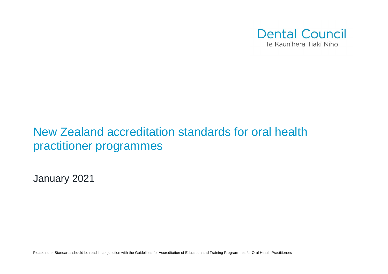

## New Zealand accreditation standards for oral health practitioner programmes

January 2021

Please note: Standards should be read in conjunction with the Guidelines for Accreditation of Education and Training Programmes for Oral Health Practitioners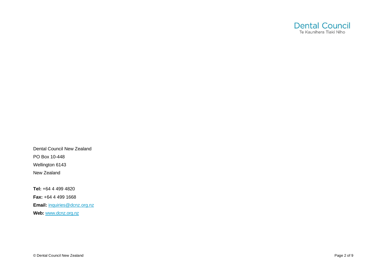

Dental Council New Zealand PO Box 10 -448 Wellington 6143 New Zealand

**Tel:** +64 4 499 4820

**Fax:** +64 4 499 1668

**Email:** inquiries@dcnz.org.nz

**Web:** www.dcnz.org. n z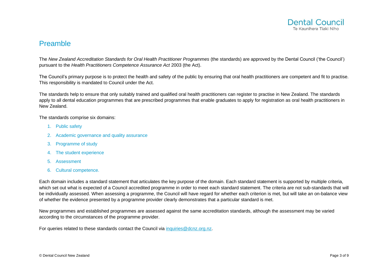

## Preamble

The *New Zealand Accreditation Standards for Oral Health Practitioner Programmes* (the standards) are approved by the Dental Council ('the Council') pursuant to the *Health Practitioners Competence Assurance Act* 2003 (the Act).

The Council's primary purpose is to protect the health and safety of the public by ensuring that oral health practitioners are competent and fit to practise. This responsibility is mandated to Council under the Act.

The standards help to ensure that only suitably trained and qualified oral health practitioners can register to practise in New Zealand. The standards apply to all dental education programmes that are prescribed programmes that enable graduates to apply for registration as oral health practitioners in New Zealand.

The standards comprise six domains:

- 1. Public safety
- 2. Academic governance and quality assurance
- 3. Programme of study
- 4. The student experience
- 5. Assessment
- 6. Cultural competence.

Each domain includes a standard statement that articulates the key purpose of the domain. Each standard statement is supported by multiple criteria, which set out what is expected of a Council accredited programme in order to meet each standard statement. The criteria are not sub-standards that will be individually assessed. When assessing a programme, the Council will have regard for whether each criterion is met, but will take an on-balance view of whether the evidence presented by a programme provider clearly demonstrates that a particular standard is met.

New programmes and established programmes are assessed against the same accreditation standards, although the assessment may be varied according to the circumstances of the programme provider.

For queries related to these standards contact the Council via inquiries @dcnz.org.nz.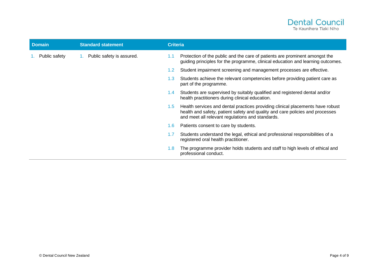

| <b>Domain</b> | <b>Standard statement</b> | <b>Criteria</b>                            |                                                                                                                                                                                                                     |
|---------------|---------------------------|--------------------------------------------|---------------------------------------------------------------------------------------------------------------------------------------------------------------------------------------------------------------------|
| Public safety | Public safety is assured. | 1.1                                        | Protection of the public and the care of patients are prominent amongst the<br>guiding principles for the programme, clinical education and learning outcomes.                                                      |
|               |                           | $1.2\,$                                    | Student impairment screening and management processes are effective.                                                                                                                                                |
|               |                           | 1.3 <sub>1</sub><br>part of the programme. | Students achieve the relevant competencies before providing patient care as                                                                                                                                         |
|               |                           | $1.4^{\circ}$                              | Students are supervised by suitably qualified and registered dental and/or<br>health practitioners during clinical education.                                                                                       |
|               |                           | 1.5 <sub>1</sub>                           | Health services and dental practices providing clinical placements have robust<br>health and safety, patient safety and quality and care policies and processes<br>and meet all relevant regulations and standards. |
|               |                           | 1.6 <sup>°</sup>                           | Patients consent to care by students.                                                                                                                                                                               |
|               |                           | 1.7                                        | Students understand the legal, ethical and professional responsibilities of a<br>registered oral health practitioner.                                                                                               |
|               |                           | 1.8<br>professional conduct.               | The programme provider holds students and staff to high levels of ethical and                                                                                                                                       |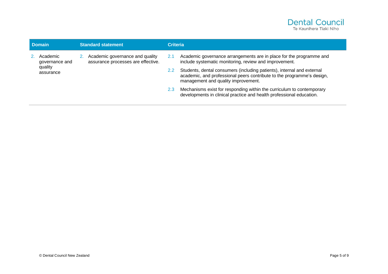

| <b>Domain</b> |                                                    | <b>Standard statement</b> |                                                                       | <b>Criteria</b> |                                                                                                                                                                                         |
|---------------|----------------------------------------------------|---------------------------|-----------------------------------------------------------------------|-----------------|-----------------------------------------------------------------------------------------------------------------------------------------------------------------------------------------|
|               | Academic<br>governance and<br>quality<br>assurance |                           | Academic governance and quality<br>assurance processes are effective. | 2.1             | Academic governance arrangements are in place for the programme and<br>include systematic monitoring, review and improvement.                                                           |
|               |                                                    |                           |                                                                       | $2.2^{\circ}$   | Students, dental consumers (including patients), internal and external<br>academic, and professional peers contribute to the programme's design,<br>management and quality improvement. |
|               |                                                    |                           |                                                                       | 2.3             | Mechanisms exist for responding within the curriculum to contemporary<br>developments in clinical practice and health professional education.                                           |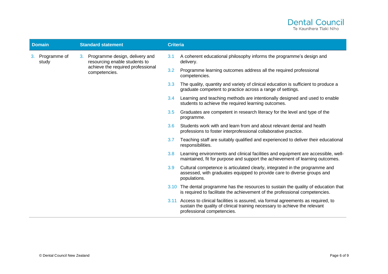

| <b>Domain</b> |                       | <b>Standard statement</b> |                                                                    | <b>Criteria</b>  |                                                                                                                                                                                                  |  |
|---------------|-----------------------|---------------------------|--------------------------------------------------------------------|------------------|--------------------------------------------------------------------------------------------------------------------------------------------------------------------------------------------------|--|
| 3.            | Programme of<br>study |                           | 3. Programme design, delivery and<br>resourcing enable students to | 3.1              | A coherent educational philosophy informs the programme's design and<br>delivery.                                                                                                                |  |
|               |                       |                           | achieve the required professional<br>competencies.                 | 3.2              | Programme learning outcomes address all the required professional<br>competencies.                                                                                                               |  |
|               |                       |                           |                                                                    | 3.3 <sub>1</sub> | The quality, quantity and variety of clinical education is sufficient to produce a<br>graduate competent to practice across a range of settings.                                                 |  |
|               |                       |                           |                                                                    | 3.4              | Learning and teaching methods are intentionally designed and used to enable<br>students to achieve the required learning outcomes.                                                               |  |
|               |                       |                           |                                                                    | 3.5              | Graduates are competent in research literacy for the level and type of the<br>programme.                                                                                                         |  |
|               |                       |                           |                                                                    | 3.6              | Students work with and learn from and about relevant dental and health<br>professions to foster interprofessional collaborative practice.                                                        |  |
|               |                       |                           |                                                                    | 3.7              | Teaching staff are suitably qualified and experienced to deliver their educational<br>responsibilities.                                                                                          |  |
|               |                       |                           |                                                                    | 3.8              | Learning environments and clinical facilities and equipment are accessible, well-<br>maintained, fit for purpose and support the achievement of learning outcomes.                               |  |
|               |                       |                           |                                                                    | 3.9              | Cultural competence is articulated clearly, integrated in the programme and<br>assessed, with graduates equipped to provide care to diverse groups and<br>populations.                           |  |
|               |                       |                           |                                                                    |                  | 3.10 The dental programme has the resources to sustain the quality of education that<br>is required to facilitate the achievement of the professional competencies.                              |  |
|               |                       |                           |                                                                    |                  | 3.11 Access to clinical facilities is assured, via formal agreements as required, to<br>sustain the quality of clinical training necessary to achieve the relevant<br>professional competencies. |  |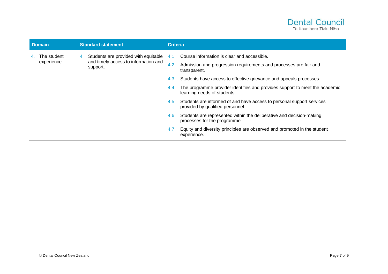

| <b>Domain</b> |                           | <b>Standard statement</b> |                                                                                          | <b>Criteria</b> |                                                                                                            |
|---------------|---------------------------|---------------------------|------------------------------------------------------------------------------------------|-----------------|------------------------------------------------------------------------------------------------------------|
|               | The student<br>experience | 4.                        | Students are provided with equitable<br>and timely access to information and<br>support. | 4.1             | Course information is clear and accessible.                                                                |
|               |                           |                           |                                                                                          | 4.2             | Admission and progression requirements and processes are fair and<br>transparent.                          |
|               |                           |                           |                                                                                          | 4.3             | Students have access to effective grievance and appeals processes.                                         |
|               |                           |                           |                                                                                          | 4.4             | The programme provider identifies and provides support to meet the academic<br>learning needs of students. |
|               |                           |                           |                                                                                          | 4.5             | Students are informed of and have access to personal support services<br>provided by qualified personnel.  |
|               |                           |                           |                                                                                          | 4.6             | Students are represented within the deliberative and decision-making<br>processes for the programme.       |
|               |                           |                           |                                                                                          | 4.7             | Equity and diversity principles are observed and promoted in the student<br>experience.                    |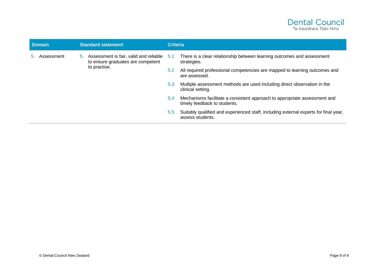

| <b>Domain</b> |            | <b>Standard statement</b> |                                                                                                | <b>Criteria</b> |                                                                                                           |
|---------------|------------|---------------------------|------------------------------------------------------------------------------------------------|-----------------|-----------------------------------------------------------------------------------------------------------|
|               | Assessment |                           | 5. Assessment is fair, valid and reliable<br>to ensure graduates are competent<br>to practise. | 5.1             | There is a clear relationship between learning outcomes and assessment<br>strategies.                     |
|               |            |                           |                                                                                                | 5.2             | All required professional competencies are mapped to learning outcomes and<br>are assessed.               |
|               |            |                           |                                                                                                | 5.3             | Multiple assessment methods are used including direct observation in the<br>clinical setting.             |
|               |            |                           |                                                                                                | 5.4             | Mechanisms facilitate a consistent approach to appropriate assessment and<br>timely feedback to students. |
|               |            |                           |                                                                                                | $5.5^{\circ}$   | Suitably qualified and experienced staff, including external experts for final year,<br>assess students.  |